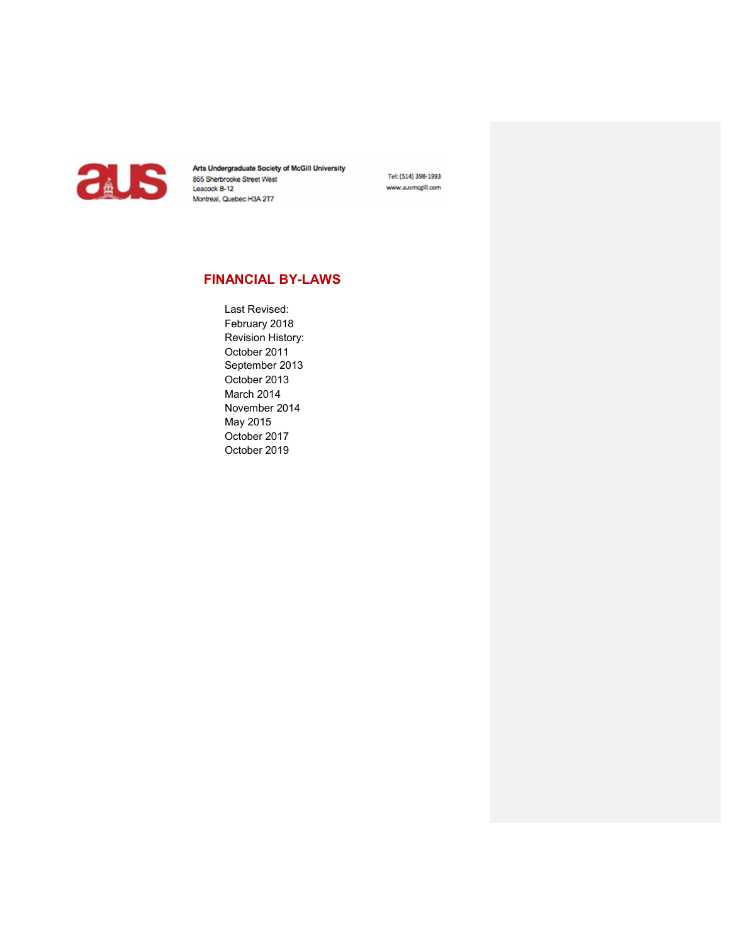

Arts Undergraduate Society of McGill University<br>
855 Sherbrooke Street West<br>
Leacock B-12<br>
Montreal, Quebec H3A 2T7 Montreal, Quebec H3A 2T7

Tel: (514) 398-1993 www.ausmcgill.com

# FINANCIAL BY-LAWS

Last Revised: February 2018 Revision History: October 2011 September 2013 October 2013 March 2014 November 2014 May 2015 October 2017 October 2019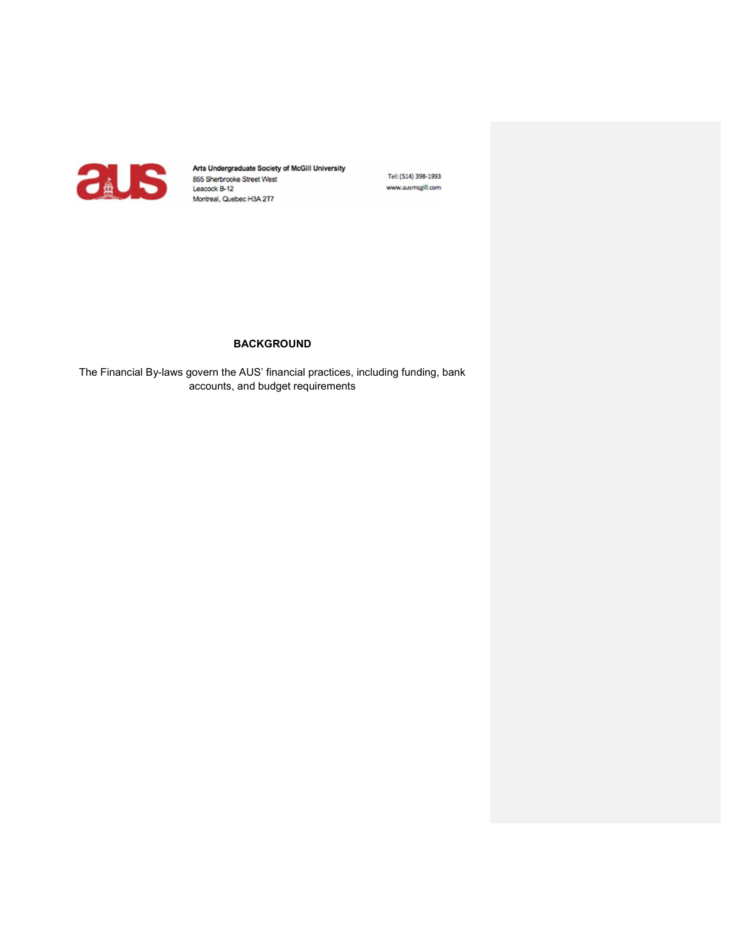

Tel: (514) 398-1993 www.ausmcgill.com

# BACKGROUND

The Financial By-laws govern the AUS' financial practices, including funding, bank accounts, and budget requirements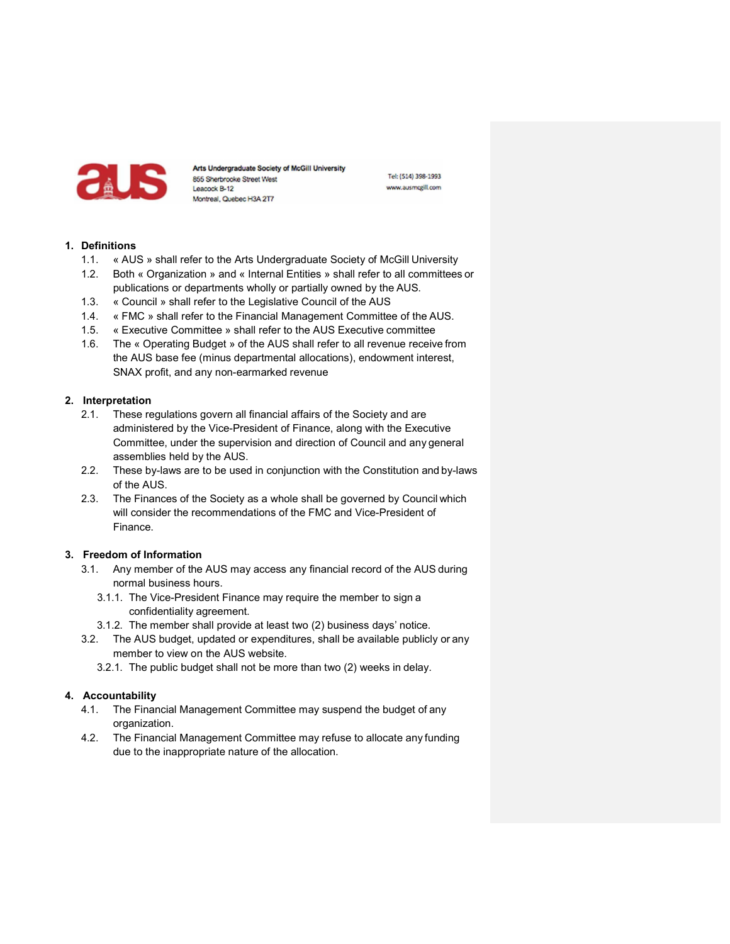

Tel: (514) 398-1993 www.ausmcgill.com

### 1. Definitions

- 1.1. « AUS » shall refer to the Arts Undergraduate Society of McGill University
- 1.2. Both « Organization » and « Internal Entities » shall refer to all committees or publications or departments wholly or partially owned by the AUS.
- 1.3. « Council » shall refer to the Legislative Council of the AUS
- 1.4. « FMC » shall refer to the Financial Management Committee of the AUS.
- 1.5. « Executive Committee » shall refer to the AUS Executive committee
- 1.6. The « Operating Budget » of the AUS shall refer to all revenue receive from the AUS base fee (minus departmental allocations), endowment interest, SNAX profit, and any non-earmarked revenue

### 2. Interpretation

- 2.1. These regulations govern all financial affairs of the Society and are administered by the Vice-President of Finance, along with the Executive Committee, under the supervision and direction of Council and any general assemblies held by the AUS.
- 2.2. These by-laws are to be used in conjunction with the Constitution and by-laws of the AUS.
- 2.3. The Finances of the Society as a whole shall be governed by Council which will consider the recommendations of the FMC and Vice-President of Finance.

# 3. Freedom of Information

- 3.1. Any member of the AUS may access any financial record of the AUS during normal business hours.
	- 3.1.1. The Vice-President Finance may require the member to sign a confidentiality agreement.
	- 3.1.2. The member shall provide at least two (2) business days' notice.
- 3.2. The AUS budget, updated or expenditures, shall be available publicly or any member to view on the AUS website.
	- 3.2.1. The public budget shall not be more than two (2) weeks in delay.

# 4. Accountability

- 4.1. The Financial Management Committee may suspend the budget of any organization.
- 4.2. The Financial Management Committee may refuse to allocate any funding due to the inappropriate nature of the allocation.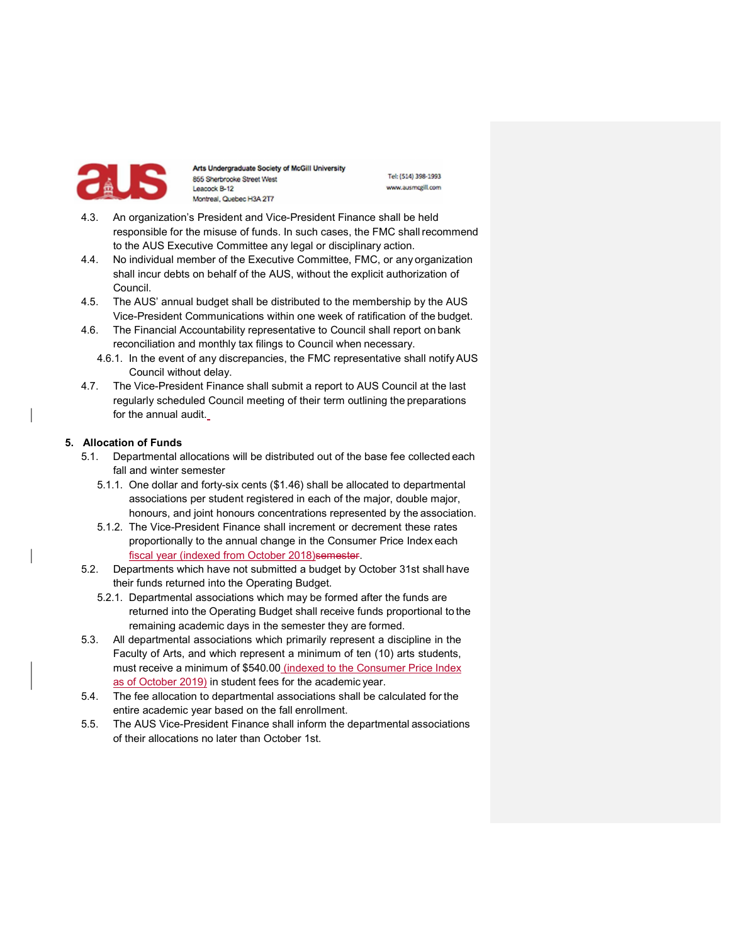

Tel: (514) 398-1993 www.ausmcgill.com

- 4.3. An organization's President and Vice-President Finance shall be held responsible for the misuse of funds. In such cases, the FMC shall recommend to the AUS Executive Committee any legal or disciplinary action.
- 4.4. No individual member of the Executive Committee, FMC, or any organization shall incur debts on behalf of the AUS, without the explicit authorization of Council.
- 4.5. The AUS' annual budget shall be distributed to the membership by the AUS Vice-President Communications within one week of ratification of the budget.
- 4.6. The Financial Accountability representative to Council shall report on bank reconciliation and monthly tax filings to Council when necessary.
	- 4.6.1. In the event of any discrepancies, the FMC representative shall notify AUS Council without delay.
- 4.7. The Vice-President Finance shall submit a report to AUS Council at the last regularly scheduled Council meeting of their term outlining the preparations for the annual audit.

### 5. Allocation of Funds

- 5.1. Departmental allocations will be distributed out of the base fee collected each fall and winter semester
	- 5.1.1. One dollar and forty-six cents (\$1.46) shall be allocated to departmental associations per student registered in each of the major, double major, honours, and joint honours concentrations represented by the association.
	- 5.1.2. The Vice-President Finance shall increment or decrement these rates proportionally to the annual change in the Consumer Price Index each fiscal year (indexed from October 2018)semester.
- 5.2. Departments which have not submitted a budget by October 31st shall have their funds returned into the Operating Budget.
	- 5.2.1. Departmental associations which may be formed after the funds are returned into the Operating Budget shall receive funds proportional to the remaining academic days in the semester they are formed.
- 5.3. All departmental associations which primarily represent a discipline in the Faculty of Arts, and which represent a minimum of ten (10) arts students, must receive a minimum of \$540.00 (indexed to the Consumer Price Index as of October 2019) in student fees for the academic year.
- 5.4. The fee allocation to departmental associations shall be calculated for the entire academic year based on the fall enrollment.
- 5.5. The AUS Vice-President Finance shall inform the departmental associations of their allocations no later than October 1st.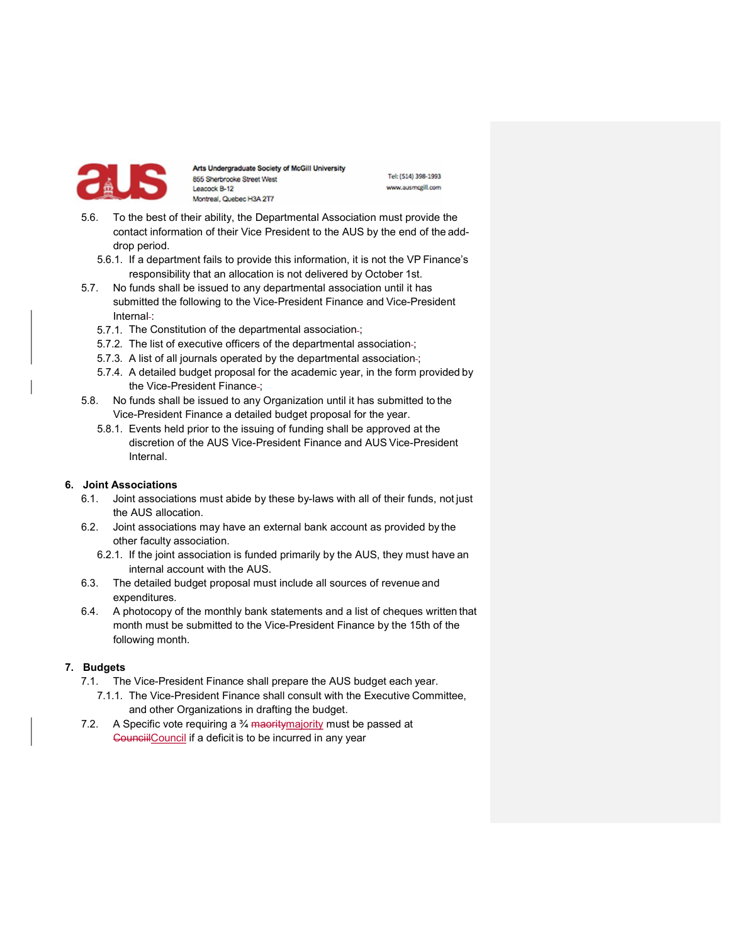

Tel: (514) 398-1993 www.ausmcgill.com

- 5.6. To the best of their ability, the Departmental Association must provide the contact information of their Vice President to the AUS by the end of the adddrop period.
	- 5.6.1. If a department fails to provide this information, it is not the VP Finance's responsibility that an allocation is not delivered by October 1st.
- 5.7. No funds shall be issued to any departmental association until it has submitted the following to the Vice-President Finance and Vice-President Internal-:
	- 5.7.1. The Constitution of the departmental association ;
	- 5.7.2. The list of executive officers of the departmental association-;
	- 5.7.3. A list of all journals operated by the departmental association ;
	- 5.7.4. A detailed budget proposal for the academic year, in the form provided by the Vice-President Finance-;
- 5.8. No funds shall be issued to any Organization until it has submitted to the Vice-President Finance a detailed budget proposal for the year.
	- 5.8.1. Events held prior to the issuing of funding shall be approved at the discretion of the AUS Vice-President Finance and AUS Vice-President Internal.

# 6. Joint Associations

- 6.1. Joint associations must abide by these by-laws with all of their funds, not just the AUS allocation.
- 6.2. Joint associations may have an external bank account as provided by the other faculty association.
	- 6.2.1. If the joint association is funded primarily by the AUS, they must have an internal account with the AUS.
- 6.3. The detailed budget proposal must include all sources of revenue and expenditures.
- 6.4. A photocopy of the monthly bank statements and a list of cheques written that month must be submitted to the Vice-President Finance by the 15th of the following month.

# 7. Budgets

- 7.1. The Vice-President Finance shall prepare the AUS budget each year.
	- 7.1.1. The Vice-President Finance shall consult with the Executive Committee, and other Organizations in drafting the budget.
- 7.2. A Specific vote requiring a  $\frac{3}{4}$  maority majority must be passed at CounciilCouncil if a deficit is to be incurred in any year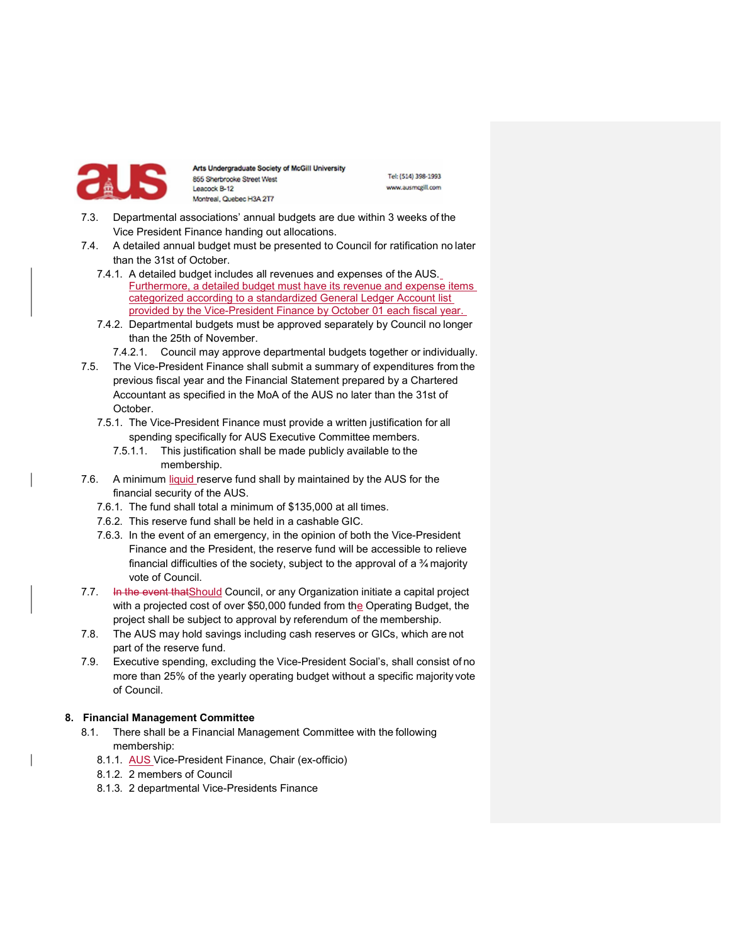

Tel: (514) 398-1993 www.ausmcgill.com

- 7.3. Departmental associations' annual budgets are due within 3 weeks of the Vice President Finance handing out allocations.
- 7.4. A detailed annual budget must be presented to Council for ratification no later than the 31st of October.
	- 7.4.1. A detailed budget includes all revenues and expenses of the AUS. Furthermore, a detailed budget must have its revenue and expense items categorized according to a standardized General Ledger Account list provided by the Vice-President Finance by October 01 each fiscal year.
	- 7.4.2. Departmental budgets must be approved separately by Council no longer than the 25th of November.
		- 7.4.2.1. Council may approve departmental budgets together or individually.
- 7.5. The Vice-President Finance shall submit a summary of expenditures from the previous fiscal year and the Financial Statement prepared by a Chartered Accountant as specified in the MoA of the AUS no later than the 31st of October.
	- 7.5.1. The Vice-President Finance must provide a written justification for all spending specifically for AUS Executive Committee members.
		- 7.5.1.1. This justification shall be made publicly available to the membership.
- 7.6. A minimum liquid reserve fund shall by maintained by the AUS for the financial security of the AUS.
	- 7.6.1. The fund shall total a minimum of \$135,000 at all times.
	- 7.6.2. This reserve fund shall be held in a cashable GIC.
	- 7.6.3. In the event of an emergency, in the opinion of both the Vice-President Finance and the President, the reserve fund will be accessible to relieve financial difficulties of the society, subject to the approval of a  $\frac{3}{4}$  majority vote of Council.
- 7.7. In the event that Should Council, or any Organization initiate a capital project with a projected cost of over \$50,000 funded from the Operating Budget, the project shall be subject to approval by referendum of the membership.
- 7.8. The AUS may hold savings including cash reserves or GICs, which are not part of the reserve fund.
- 7.9. Executive spending, excluding the Vice-President Social's, shall consist of no more than 25% of the yearly operating budget without a specific majority vote of Council.

# 8. Financial Management Committee

- 8.1. There shall be a Financial Management Committee with the following membership:
	- 8.1.1. AUS Vice-President Finance, Chair (ex-officio)
	- 8.1.2. 2 members of Council
	- 8.1.3. 2 departmental Vice-Presidents Finance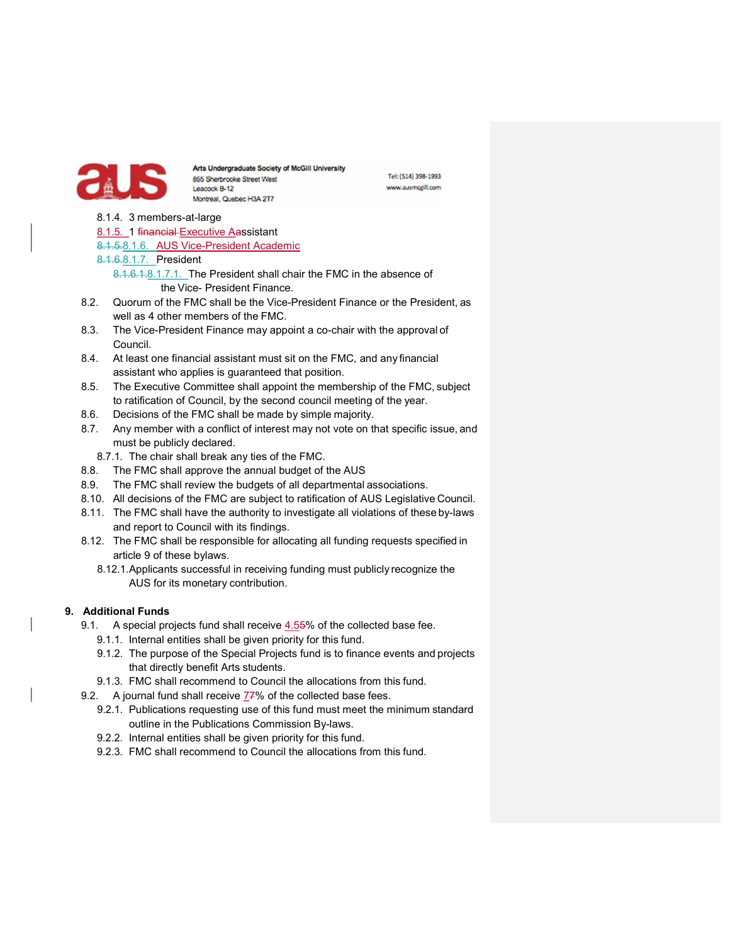

Tel: (514) 398-1993 www.ausmcgill.com

- 8.1.4. 3 members-at-large
- 8.1.5. 1 financial Executive Aassistant
- 8.1.5.8.1.6. AUS Vice-President Academic
- 8.1.6.8.1.7. President
	- 8.1.6.1.8.1.7.1. The President shall chair the FMC in the absence of the Vice- President Finance.
- 8.2. Quorum of the FMC shall be the Vice-President Finance or the President, as well as 4 other members of the FMC.
- 8.3. The Vice-President Finance may appoint a co-chair with the approval of Council.
- 8.4. At least one financial assistant must sit on the FMC, and any financial assistant who applies is guaranteed that position.
- 8.5. The Executive Committee shall appoint the membership of the FMC, subject to ratification of Council, by the second council meeting of the year.
- 8.6. Decisions of the FMC shall be made by simple majority.
- 8.7. Any member with a conflict of interest may not vote on that specific issue, and must be publicly declared.
	- 8.7.1. The chair shall break any ties of the FMC.
- 8.8. The FMC shall approve the annual budget of the AUS
- 8.9. The FMC shall review the budgets of all departmental associations.
- 8.10. All decisions of the FMC are subject to ratification of AUS Legislative Council.
- 8.11. The FMC shall have the authority to investigate all violations of these by-laws and report to Council with its findings.
- 8.12. The FMC shall be responsible for allocating all funding requests specified in article 9 of these bylaws.
	- 8.12.1. Applicants successful in receiving funding must publicly recognize the AUS for its monetary contribution.

# 9. Additional Funds

- 9.1. A special projects fund shall receive 4.55% of the collected base fee.
	- 9.1.1. Internal entities shall be given priority for this fund.
	- 9.1.2. The purpose of the Special Projects fund is to finance events and projects that directly benefit Arts students.
	- 9.1.3. FMC shall recommend to Council the allocations from this fund.
- 9.2. A journal fund shall receive 77% of the collected base fees.
	- 9.2.1. Publications requesting use of this fund must meet the minimum standard outline in the Publications Commission By-laws.
	- 9.2.2. Internal entities shall be given priority for this fund.
	- 9.2.3. FMC shall recommend to Council the allocations from this fund.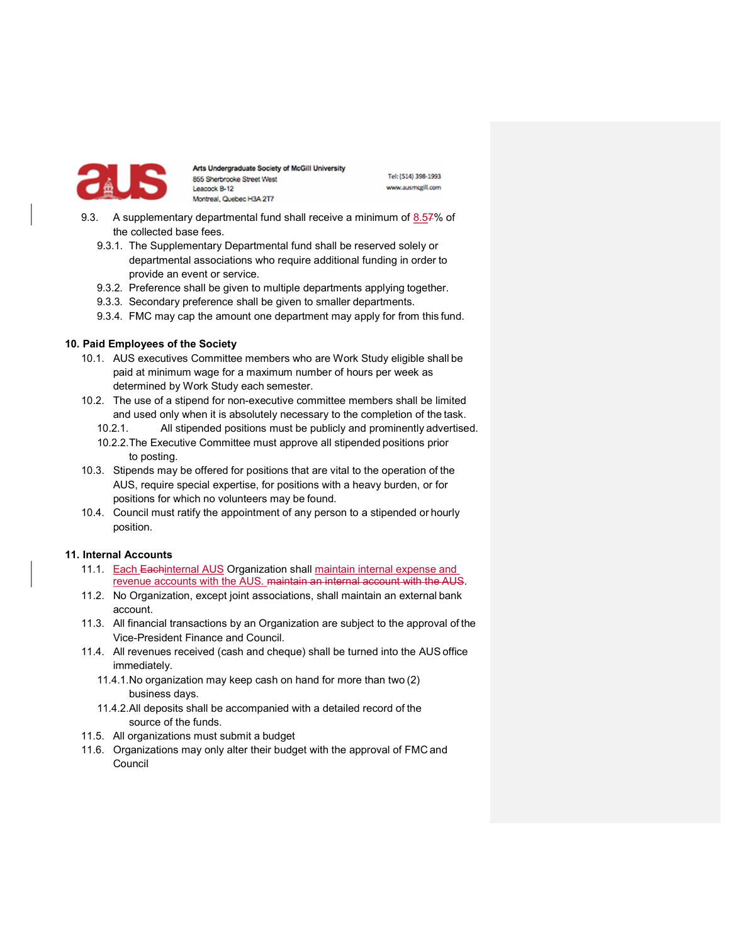

Tel: (514) 398-1993 www.ausmcgill.com

- 9.3. A supplementary departmental fund shall receive a minimum of 8.57% of the collected base fees.
	- 9.3.1. The Supplementary Departmental fund shall be reserved solely or departmental associations who require additional funding in order to provide an event or service.
	- 9.3.2. Preference shall be given to multiple departments applying together.
	- 9.3.3. Secondary preference shall be given to smaller departments.
	- 9.3.4. FMC may cap the amount one department may apply for from this fund.

#### 10. Paid Employees of the Society

- 10.1. AUS executives Committee members who are Work Study eligible shall be paid at minimum wage for a maximum number of hours per week as determined by Work Study each semester.
- 10.2. The use of a stipend for non-executive committee members shall be limited and used only when it is absolutely necessary to the completion of the task.
	- 10.2.1. All stipended positions must be publicly and prominently advertised.
	- 10.2.2. The Executive Committee must approve all stipended positions prior to posting.
- 10.3. Stipends may be offered for positions that are vital to the operation of the AUS, require special expertise, for positions with a heavy burden, or for positions for which no volunteers may be found.
- 10.4. Council must ratify the appointment of any person to a stipended or hourly position.

#### 11. Internal Accounts

- 11.1. Each Eachinternal AUS Organization shall maintain internal expense and revenue accounts with the AUS. maintain an internal account with the AUS.
- 11.2. No Organization, except joint associations, shall maintain an external bank account.
- 11.3. All financial transactions by an Organization are subject to the approval of the Vice-President Finance and Council.
- 11.4. All revenues received (cash and cheque) shall be turned into the AUS office immediately.
	- 11.4.1. No organization may keep cash on hand for more than two (2) business days.
	- 11.4.2. All deposits shall be accompanied with a detailed record of the source of the funds.
- 11.5. All organizations must submit a budget
- 11.6. Organizations may only alter their budget with the approval of FMC and Council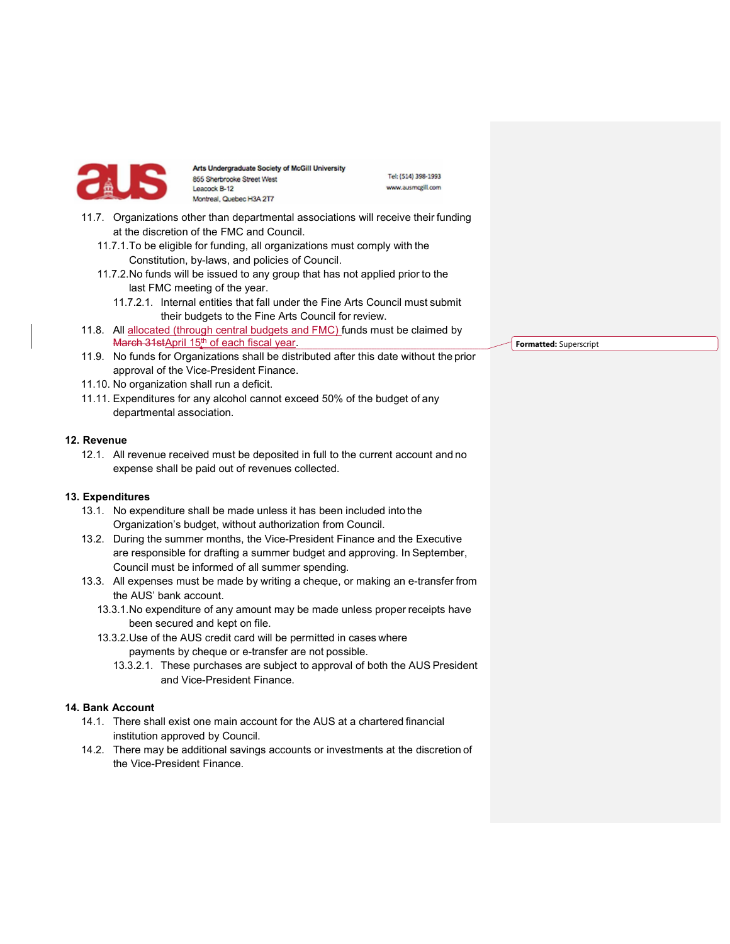

Tel: (514) 398-1993 www.ausmcgill.com

- 11.7. Organizations other than departmental associations will receive their funding at the discretion of the FMC and Council.
	- 11.7.1. To be eligible for funding, all organizations must comply with the Constitution, by-laws, and policies of Council.
	- 11.7.2. No funds will be issued to any group that has not applied prior to the last FMC meeting of the year.
		- 11.7.2.1. Internal entities that fall under the Fine Arts Council must submit their budgets to the Fine Arts Council for review.
- 11.8. All allocated (through central budgets and FMC) funds must be claimed by March 31stApril 15<sup>th</sup> of each fiscal year.
- 11.9. No funds for Organizations shall be distributed after this date without the prior approval of the Vice-President Finance.
- 11.10. No organization shall run a deficit.
- 11.11. Expenditures for any alcohol cannot exceed 50% of the budget of any departmental association.

#### 12. Revenue

12.1. All revenue received must be deposited in full to the current account and no expense shall be paid out of revenues collected.

#### 13. Expenditures

- 13.1. No expenditure shall be made unless it has been included into the Organization's budget, without authorization from Council.
- 13.2. During the summer months, the Vice-President Finance and the Executive are responsible for drafting a summer budget and approving. In September, Council must be informed of all summer spending.
- 13.3. All expenses must be made by writing a cheque, or making an e-transfer from the AUS' bank account.
	- 13.3.1. No expenditure of any amount may be made unless proper receipts have been secured and kept on file.
	- 13.3.2. Use of the AUS credit card will be permitted in cases where payments by cheque or e-transfer are not possible.
		-
		- 13.3.2.1. These purchases are subject to approval of both the AUS President and Vice-President Finance.

#### 14. Bank Account

- 14.1. There shall exist one main account for the AUS at a chartered financial institution approved by Council.
- 14.2. There may be additional savings accounts or investments at the discretion of the Vice-President Finance.

Formatted: Superscript